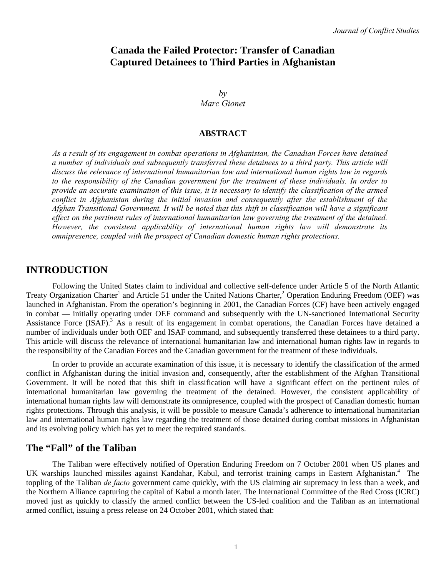# **Canada the Failed Protector: Transfer of Canadian Captured Detainees to Third Parties in Afghanistan**

 $b\nu$ *Marc Gionet* 

#### **ABSTRACT**

*As a result of its engagement in combat operations in Afghanistan, the Canadian Forces have detained a number of individuals and subsequently transferred these detainees to a third party. This article will discuss the relevance of international humanitarian law and international human rights law in regards to the responsibility of the Canadian government for the treatment of these individuals. In order to provide an accurate examination of this issue, it is necessary to identify the classification of the armed conflict in Afghanistan during the initial invasion and consequently after the establishment of the Afghan Transitional Government. It will be noted that this shift in classification will have a significant effect on the pertinent rules of international humanitarian law governing the treatment of the detained. However, the consistent applicability of international human rights law will demonstrate its omnipresence, coupled with the prospect of Canadian domestic human rights protections.* 

## **INTRODUCTION**

Following the United States claim to individual and collective self-defence under Article 5 of the North Atlantic Treaty Organization Charter<sup>1</sup> and Article 51 under the United Nations Charter,<sup>2</sup> Operation Enduring Freedom (OEF) was launched in Afghanistan. From the operation's beginning in 2001, the Canadian Forces (CF) have been actively engaged in combat — initially operating under OEF command and subsequently with the UN-sanctioned International Security Assistance Force (ISAF).<sup>3</sup> As a result of its engagement in combat operations, the Canadian Forces have detained a number of individuals under both OEF and ISAF command, and subsequently transferred these detainees to a third party. This article will discuss the relevance of international humanitarian law and international human rights law in regards to the responsibility of the Canadian Forces and the Canadian government for the treatment of these individuals.

In order to provide an accurate examination of this issue, it is necessary to identify the classification of the armed conflict in Afghanistan during the initial invasion and, consequently, after the establishment of the Afghan Transitional Government. It will be noted that this shift in classification will have a significant effect on the pertinent rules of international humanitarian law governing the treatment of the detained. However, the consistent applicability of international human rights law will demonstrate its omnipresence, coupled with the prospect of Canadian domestic human rights protections. Through this analysis, it will be possible to measure Canada's adherence to international humanitarian law and international human rights law regarding the treatment of those detained during combat missions in Afghanistan and its evolving policy which has yet to meet the required standards.

## **The "Fall" of the Taliban**

The Taliban were effectively notified of Operation Enduring Freedom on 7 October 2001 when US planes and UK warships launched missiles against Kandahar, Kabul, and terrorist training camps in Eastern Afghanistan.<sup>4</sup> The toppling of the Taliban *de facto* government came quickly, with the US claiming air supremacy in less than a week, and the Northern Alliance capturing the capital of Kabul a month later. The International Committee of the Red Cross (ICRC) moved just as quickly to classify the armed conflict between the US-led coalition and the Taliban as an international armed conflict, issuing a press release on 24 October 2001, which stated that: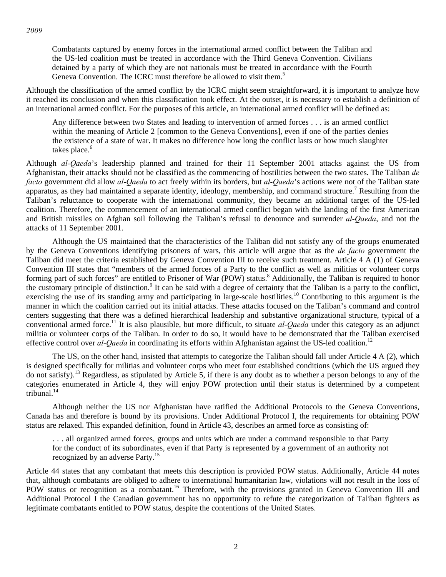*2009* 

Combatants captured by enemy forces in the international armed conflict between the Taliban and the US-led coalition must be treated in accordance with the Third Geneva Convention. Civilians detained by a party of which they are not nationals must be treated in accordance with the Fourth Geneva Convention. The ICRC must therefore be allowed to visit them.<sup>5</sup>

Although the classification of the armed conflict by the ICRC might seem straightforward, it is important to analyze how it reached its conclusion and when this classification took effect. At the outset, it is necessary to establish a definition of an international armed conflict. For the purposes of this article, an international armed conflict will be defined as:

Any difference between two States and leading to intervention of armed forces . . . is an armed conflict within the meaning of Article 2 [common to the Geneva Conventions], even if one of the parties denies the existence of a state of war. It makes no difference how long the conflict lasts or how much slaughter takes place. $^6$ 

Although *al-Qaeda*'s leadership planned and trained for their 11 September 2001 attacks against the US from Afghanistan, their attacks should not be classified as the commencing of hostilities between the two states. The Taliban *de facto* government did allow *al-Qaeda* to act freely within its borders, but *al-Qaeda*'s actions were not of the Taliban state apparatus, as they had maintained a separate identity, ideology, membership, and command structure.<sup>7</sup> Resulting from the Taliban's reluctance to cooperate with the international community, they became an additional target of the US-led coalition. Therefore, the commencement of an international armed conflict began with the landing of the first American and British missiles on Afghan soil following the Taliban's refusal to denounce and surrender *al-Qaeda*, and not the attacks of 11 September 2001.

Although the US maintained that the characteristics of the Taliban did not satisfy any of the groups enumerated by the Geneva Conventions identifying prisoners of wars, this article will argue that as the *de facto* government the Taliban did meet the criteria established by Geneva Convention III to receive such treatment. Article 4 A (1) of Geneva Convention III states that "members of the armed forces of a Party to the conflict as well as militias or volunteer corps forming part of such forces" are entitled to Prisoner of War (POW) status.<sup>8</sup> Additionally, the Taliban is required to honor the customary principle of distinction.<sup>9</sup> It can be said with a degree of certainty that the Taliban is a party to the conflict, exercising the use of its standing army and participating in large-scale hostilities.<sup>10</sup> Contributing to this argument is the manner in which the coalition carried out its initial attacks. These attacks focused on the Taliban's command and control centers suggesting that there was a defined hierarchical leadership and substantive organizational structure, typical of a conventional armed force.<sup>11</sup> It is also plausible, but more difficult, to situate *al-Qaeda* under this category as an adjunct militia or volunteer corps of the Taliban. In order to do so, it would have to be demonstrated that the Taliban exercised effective control over  $aI$ -*Qaeda* in coordinating its efforts within Afghanistan against the US-led coalition.<sup>12</sup>

The US, on the other hand, insisted that attempts to categorize the Taliban should fall under Article 4 A (2), which is designed specifically for militias and volunteer corps who meet four established conditions (which the US argued they do not satisfy).13 Regardless, as stipulated by Article 5, if there is any doubt as to whether a person belongs to any of the categories enumerated in Article 4, they will enjoy POW protection until their status is determined by a competent tribunal.<sup>14</sup>

Although neither the US nor Afghanistan have ratified the Additional Protocols to the Geneva Conventions, Canada has and therefore is bound by its provisions. Under Additional Protocol I, the requirements for obtaining POW status are relaxed. This expanded definition, found in Article 43, describes an armed force as consisting of:

. . . all organized armed forces, groups and units which are under a command responsible to that Party for the conduct of its subordinates, even if that Party is represented by a government of an authority not recognized by an adverse Party.<sup>15</sup>

Article 44 states that any combatant that meets this description is provided POW status. Additionally, Article 44 notes that, although combatants are obliged to adhere to international humanitarian law, violations will not result in the loss of POW status or recognition as a combatant.<sup>16</sup> Therefore, with the provisions granted in Geneva Convention III and Additional Protocol I the Canadian government has no opportunity to refute the categorization of Taliban fighters as legitimate combatants entitled to POW status, despite the contentions of the United States.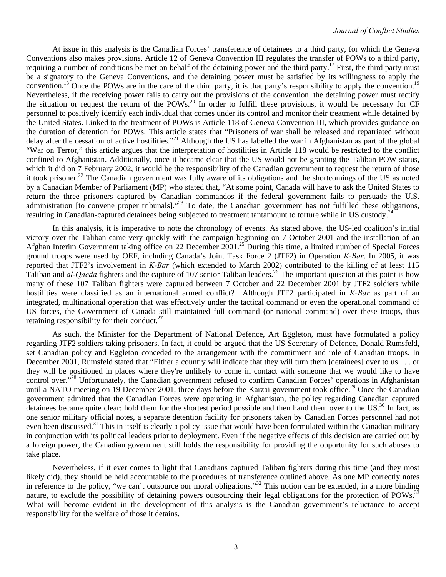At issue in this analysis is the Canadian Forces' transference of detainees to a third party, for which the Geneva Conventions also makes provisions. Article 12 of Geneva Convention III regulates the transfer of POWs to a third party, requiring a number of conditions be met on behalf of the detaining power and the third party.<sup>17</sup> First, the third party must be a signatory to the Geneva Conventions, and the detaining power must be satisfied by its willingness to apply the convention.<sup>18</sup> Once the POWs are in the care of the third party, it is that party's responsibility to apply the convention.<sup>19</sup> Nevertheless, if the receiving power fails to carry out the provisions of the convention, the detaining power must rectify the situation or request the return of the POWs.<sup>20</sup> In order to fulfill these provisions, it would be necessary for CF personnel to positively identify each individual that comes under its control and monitor their treatment while detained by the United States. Linked to the treatment of POWs is Article 118 of Geneva Convention III, which provides guidance on the duration of detention for POWs. This article states that "Prisoners of war shall be released and repatriated without delay after the cessation of active hostilities."<sup>21</sup> Although the US has labelled the war in Afghanistan as part of the global "War on Terror," this article argues that the interpretation of hostilities in Article 118 would be restricted to the conflict confined to Afghanistan. Additionally, once it became clear that the US would not be granting the Taliban POW status, which it did on 7 February 2002, it would be the responsibility of the Canadian government to request the return of those it took prisoner.22 The Canadian government was fully aware of its obligations and the shortcomings of the US as noted by a Canadian Member of Parliament (MP) who stated that, "At some point, Canada will have to ask the United States to return the three prisoners captured by Canadian commandos if the federal government fails to persuade the U.S. administration [to convene proper tribunals]."<sup>23</sup> To date, the Canadian government has not fulfilled these obligations, resulting in Canadian-captured detainees being subjected to treatment tantamount to torture while in US custody.<sup>24</sup>

In this analysis, it is imperative to note the chronology of events. As stated above, the US-led coalition's initial victory over the Taliban came very quickly with the campaign beginning on 7 October 2001 and the installation of an Afghan Interim Government taking office on 22 December 2001.<sup>25</sup> During this time, a limited number of Special Forces ground troops were used by OEF, including Canada's Joint Task Force 2 (JTF2) in Operation *K-Bar*. In 2005, it was reported that JTF2's involvement in *K-Bar* (which extended to March 2002) contributed to the killing of at least 115 Taliban and *al-Qaeda* fighters and the capture of 107 senior Taliban leaders.<sup>26</sup> The important question at this point is how many of these 107 Taliban fighters were captured between 7 October and 22 December 2001 by JTF2 soldiers while hostilities were classified as an international armed conflict? Although JTF2 participated in *K-Bar* as part of an integrated, multinational operation that was effectively under the tactical command or even the operational command of US forces, the Government of Canada still maintained full command (or national command) over these troops, thus retaining responsibility for their conduct. $27$ 

As such, the Minister for the Department of National Defence, Art Eggleton, must have formulated a policy regarding JTF2 soldiers taking prisoners. In fact, it could be argued that the US Secretary of Defence, Donald Rumsfeld, set Canadian policy and Eggleton conceded to the arrangement with the commitment and role of Canadian troops. In December 2001, Rumsfeld stated that "Either a country will indicate that they will turn them [detainees] over to us . . . or they will be positioned in places where they're unlikely to come in contact with someone that we would like to have control over.<sup>728</sup> Unfortunately, the Canadian government refused to confirm Canadian Forces' operations in Afghanistan until a NATO meeting on 19 December 2001, three days before the Karzai government took office.<sup>29</sup> Once the Canadian government admitted that the Canadian Forces were operating in Afghanistan, the policy regarding Canadian captured detainees became quite clear: hold them for the shortest period possible and then hand them over to the US. $^{30}$  In fact, as one senior military official notes, a separate detention facility for prisoners taken by Canadian Forces personnel had not even been discussed.<sup>31</sup> This in itself is clearly a policy issue that would have been formulated within the Canadian military in conjunction with its political leaders prior to deployment. Even if the negative effects of this decision are carried out by a foreign power, the Canadian government still holds the responsibility for providing the opportunity for such abuses to take place.

Nevertheless, if it ever comes to light that Canadians captured Taliban fighters during this time (and they most likely did), they should be held accountable to the procedures of transference outlined above. As one MP correctly notes in reference to the policy, "we can't outsource our moral obligations."32 This notion can be extended, in a more binding nature, to exclude the possibility of detaining powers outsourcing their legal obligations for the protection of POWs.<sup>33</sup> What will become evident in the development of this analysis is the Canadian government's reluctance to accept responsibility for the welfare of those it detains.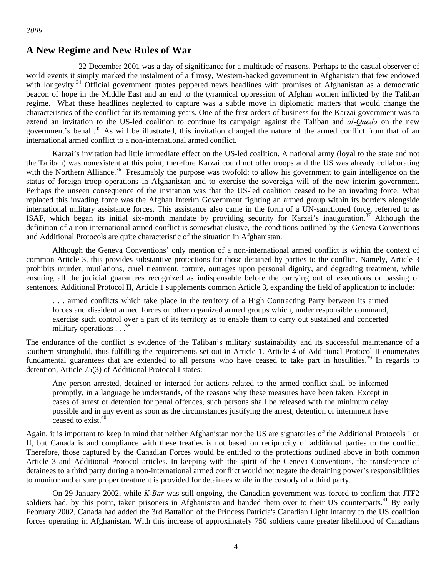#### *2009*

## **A New Regime and New Rules of War**

 22 December 2001 was a day of significance for a multitude of reasons. Perhaps to the casual observer of world events it simply marked the instalment of a flimsy, Western-backed government in Afghanistan that few endowed with longevity.<sup>34</sup> Official government quotes peppered news headlines with promises of Afghanistan as a democratic beacon of hope in the Middle East and an end to the tyrannical oppression of Afghan women inflicted by the Taliban regime. What these headlines neglected to capture was a subtle move in diplomatic matters that would change the characteristics of the conflict for its remaining years. One of the first orders of business for the Karzai government was to extend an invitation to the US-led coalition to continue its campaign against the Taliban and *al-Qaeda* on the new government's behalf.<sup>35</sup> As will be illustrated, this invitation changed the nature of the armed conflict from that of an international armed conflict to a non-international armed conflict.

Karzai's invitation had little immediate effect on the US-led coalition. A national army (loyal to the state and not the Taliban) was nonexistent at this point, therefore Karzai could not offer troops and the US was already collaborating with the Northern Alliance.<sup>36</sup> Presumably the purpose was twofold: to allow his government to gain intelligence on the status of foreign troop operations in Afghanistan and to exercise the sovereign will of the new interim government. Perhaps the unseen consequence of the invitation was that the US-led coalition ceased to be an invading force. What replaced this invading force was the Afghan Interim Government fighting an armed group within its borders alongside international military assistance forces. This assistance also came in the form of a UN-sanctioned force, referred to as ISAF, which began its initial six-month mandate by providing security for Karzai's inauguration.<sup>37</sup> Although the definition of a non-international armed conflict is somewhat elusive, the conditions outlined by the Geneva Conventions and Additional Protocols are quite characteristic of the situation in Afghanistan.

Although the Geneva Conventions' only mention of a non-international armed conflict is within the context of common Article 3, this provides substantive protections for those detained by parties to the conflict. Namely, Article 3 prohibits murder, mutilations, cruel treatment, torture, outrages upon personal dignity, and degrading treatment, while ensuring all the judicial guarantees recognized as indispensable before the carrying out of executions or passing of sentences. Additional Protocol II, Article 1 supplements common Article 3, expanding the field of application to include:

. . . armed conflicts which take place in the territory of a High Contracting Party between its armed forces and dissident armed forces or other organized armed groups which, under responsible command, exercise such control over a part of its territory as to enable them to carry out sustained and concerted military operations  $\ldots$ <sup>38</sup>

The endurance of the conflict is evidence of the Taliban's military sustainability and its successful maintenance of a southern stronghold, thus fulfilling the requirements set out in Article 1. Article 4 of Additional Protocol II enumerates fundamental guarantees that are extended to all persons who have ceased to take part in hostilities.<sup>39</sup> In regards to detention, Article 75(3) of Additional Protocol I states:

Any person arrested, detained or interned for actions related to the armed conflict shall be informed promptly, in a language he understands, of the reasons why these measures have been taken. Except in cases of arrest or detention for penal offences, such persons shall be released with the minimum delay possible and in any event as soon as the circumstances justifying the arrest, detention or internment have ceased to exist.<sup>40</sup>

Again, it is important to keep in mind that neither Afghanistan nor the US are signatories of the Additional Protocols I or II, but Canada is and compliance with these treaties is not based on reciprocity of additional parties to the conflict. Therefore, those captured by the Canadian Forces would be entitled to the protections outlined above in both common Article 3 and Additional Protocol articles. In keeping with the spirit of the Geneva Conventions, the transference of detainees to a third party during a non-international armed conflict would not negate the detaining power's responsibilities to monitor and ensure proper treatment is provided for detainees while in the custody of a third party.

On 29 January 2002, while *K-Bar* was still ongoing, the Canadian government was forced to confirm that JTF2 soldiers had, by this point, taken prisoners in Afghanistan and handed them over to their US counterparts.<sup>41</sup> By early February 2002, Canada had added the 3rd Battalion of the Princess Patricia's Canadian Light Infantry to the US coalition forces operating in Afghanistan. With this increase of approximately 750 soldiers came greater likelihood of Canadians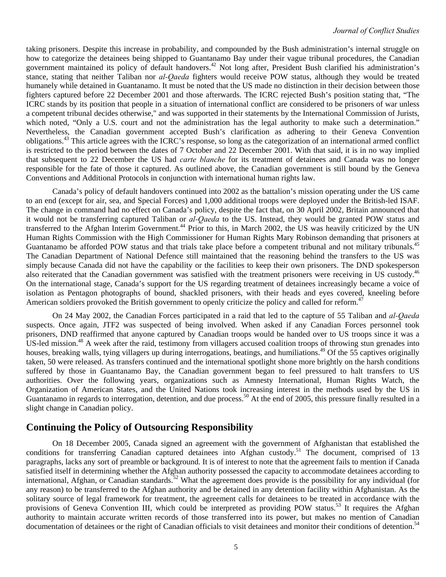taking prisoners. Despite this increase in probability, and compounded by the Bush administration's internal struggle on how to categorize the detainees being shipped to Guantanamo Bay under their vague tribunal procedures, the Canadian government maintained its policy of default handovers.42 Not long after, President Bush clarified his administration's stance, stating that neither Taliban nor *al-Qaeda* fighters would receive POW status, although they would be treated humanely while detained in Guantanamo. It must be noted that the US made no distinction in their decision between those fighters captured before 22 December 2001 and those afterwards. The ICRC rejected Bush's position stating that, "The ICRC stands by its position that people in a situation of international conflict are considered to be prisoners of war unless a competent tribunal decides otherwise," and was supported in their statements by the International Commission of Jurists, which noted, "Only a U.S. court and not the administration has the legal authority to make such a determination." Nevertheless, the Canadian government accepted Bush's clarification as adhering to their Geneva Convention obligations.43 This article agrees with the ICRC's response, so long as the categorization of an international armed conflict is restricted to the period between the dates of 7 October and 22 December 2001. With that said, it is in no way implied that subsequent to 22 December the US had *carte blanche* for its treatment of detainees and Canada was no longer responsible for the fate of those it captured. As outlined above, the Canadian government is still bound by the Geneva Conventions and Additional Protocols in conjunction with international human rights law.

Canada's policy of default handovers continued into 2002 as the battalion's mission operating under the US came to an end (except for air, sea, and Special Forces) and 1,000 additional troops were deployed under the British-led ISAF. The change in command had no effect on Canada's policy, despite the fact that, on 30 April 2002, Britain announced that it would not be transferring captured Taliban or *al-Qaeda* to the US. Instead, they would be granted POW status and transferred to the Afghan Interim Government.<sup>44</sup> Prior to this, in March 2002, the US was heavily criticized by the UN Human Rights Commission with the High Commissioner for Human Rights Mary Robinson demanding that prisoners at Guantanamo be afforded POW status and that trials take place before a competent tribunal and not military tribunals.<sup>45</sup> The Canadian Department of National Defence still maintained that the reasoning behind the transfers to the US was simply because Canada did not have the capability or the facilities to keep their own prisoners. The DND spokesperson also reiterated that the Canadian government was satisfied with the treatment prisoners were receiving in US custody.<sup>46</sup> On the international stage, Canada's support for the US regarding treatment of detainees increasingly became a voice of isolation as Pentagon photographs of bound, shackled prisoners, with their heads and eyes covered, kneeling before American soldiers provoked the British government to openly criticize the policy and called for reform.<sup>47</sup>

On 24 May 2002, the Canadian Forces participated in a raid that led to the capture of 55 Taliban and *al-Qaeda* suspects. Once again, JTF2 was suspected of being involved. When asked if any Canadian Forces personnel took prisoners, DND reaffirmed that anyone captured by Canadian troops would be handed over to US troops since it was a US-led mission.<sup>48</sup> A week after the raid, testimony from villagers accused coalition troops of throwing stun grenades into houses, breaking walls, tying villagers up during interrogations, beatings, and humiliations.<sup>49</sup> Of the 55 captives originally taken, 50 were released. As transfers continued and the international spotlight shone more brightly on the harsh conditions suffered by those in Guantanamo Bay, the Canadian government began to feel pressured to halt transfers to US authorities. Over the following years, organizations such as Amnesty International, Human Rights Watch, the Organization of American States, and the United Nations took increasing interest in the methods used by the US in Guantanamo in regards to interrogation, detention, and due process.<sup>50</sup> At the end of 2005, this pressure finally resulted in a slight change in Canadian policy.

# **Continuing the Policy of Outsourcing Responsibility**

On 18 December 2005, Canada signed an agreement with the government of Afghanistan that established the conditions for transferring Canadian captured detainees into Afghan custody.<sup>51</sup> The document, comprised of 13 paragraphs, lacks any sort of preamble or background. It is of interest to note that the agreement fails to mention if Canada satisfied itself in determining whether the Afghan authority possessed the capacity to accommodate detainees according to international, Afghan, or Canadian standards.<sup>52</sup> What the agreement does provide is the possibility for any individual (for any reason) to be transferred to the Afghan authority and be detained in any detention facility within Afghanistan. As the solitary source of legal framework for treatment, the agreement calls for detainees to be treated in accordance with the provisions of Geneva Convention III, which could be interpreted as providing POW status.<sup>53</sup> It requires the Afghan authority to maintain accurate written records of those transferred into its power, but makes no mention of Canadian documentation of detainees or the right of Canadian officials to visit detainees and monitor their conditions of detention.<sup>54</sup>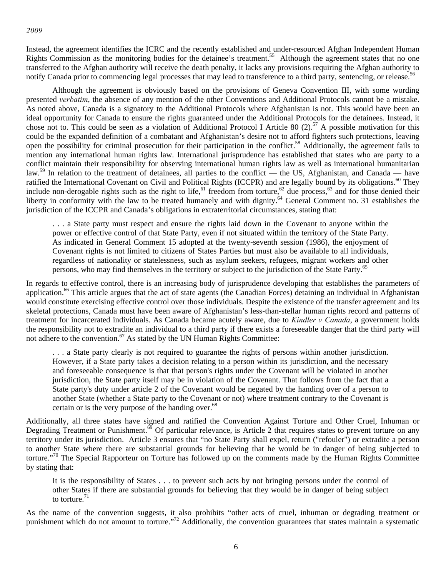*2009* 

Instead, the agreement identifies the ICRC and the recently established and under-resourced Afghan Independent Human Rights Commission as the monitoring bodies for the detainee's treatment.<sup>55</sup> Although the agreement states that no one transferred to the Afghan authority will receive the death penalty, it lacks any provisions requiring the Afghan authority to notify Canada prior to commencing legal processes that may lead to transference to a third party, sentencing, or release.<sup>5</sup>

Although the agreement is obviously based on the provisions of Geneva Convention III, with some wording presented *verbatim*, the absence of any mention of the other Conventions and Additional Protocols cannot be a mistake. As noted above, Canada is a signatory to the Additional Protocols where Afghanistan is not. This would have been an ideal opportunity for Canada to ensure the rights guaranteed under the Additional Protocols for the detainees. Instead, it chose not to. This could be seen as a violation of Additional Protocol I Article 80  $(2)$ ,  $57$  A possible motivation for this could be the expanded definition of a combatant and Afghanistan's desire not to afford fighters such protections, leaving open the possibility for criminal prosecution for their participation in the conflict.<sup>58</sup> Additionally, the agreement fails to mention any international human rights law. International jurisprudence has established that states who are party to a conflict maintain their responsibility for observing international human rights law as well as international humanitarian law.<sup>59</sup> In relation to the treatment of detainees, all parties to the conflict — the US, Afghanistan, and Canada — have ratified the International Covenant on Civil and Political Rights (ICCPR) and are legally bound by its obligations.<sup>60</sup> They include non-derogable rights such as the right to life,<sup>61</sup> freedom from torture,<sup>62</sup> due process,<sup>63</sup> and for those denied their liberty in conformity with the law to be treated humanely and with dignity.64 General Comment no. 31 establishes the jurisdiction of the ICCPR and Canada's obligations in extraterritorial circumstances, stating that:

. . . a State party must respect and ensure the rights laid down in the Covenant to anyone within the power or effective control of that State Party, even if not situated within the territory of the State Party. As indicated in General Comment 15 adopted at the twenty-seventh session (1986), the enjoyment of Covenant rights is not limited to citizens of States Parties but must also be available to all individuals, regardless of nationality or statelessness, such as asylum seekers, refugees, migrant workers and other persons, who may find themselves in the territory or subject to the jurisdiction of the State Party.<sup>65</sup>

In regards to effective control, there is an increasing body of jurisprudence developing that establishes the parameters of application.<sup>66</sup> This article argues that the act of state agents (the Canadian Forces) detaining an individual in Afghanistan would constitute exercising effective control over those individuals. Despite the existence of the transfer agreement and its skeletal protections, Canada must have been aware of Afghanistan's less-than-stellar human rights record and patterns of treatment for incarcerated individuals. As Canada became acutely aware, due to *Kindler v Canada*, a government holds the responsibility not to extradite an individual to a third party if there exists a foreseeable danger that the third party will not adhere to the convention.<sup>67</sup> As stated by the UN Human Rights Committee:

. . . a State party clearly is not required to guarantee the rights of persons within another jurisdiction. However, if a State party takes a decision relating to a person within its jurisdiction, and the necessary and foreseeable consequence is that that person's rights under the Covenant will be violated in another jurisdiction, the State party itself may be in violation of the Covenant. That follows from the fact that a State party's duty under article 2 of the Covenant would be negated by the handing over of a person to another State (whether a State party to the Covenant or not) where treatment contrary to the Covenant is certain or is the very purpose of the handing over.<sup>68</sup>

Additionally, all three states have signed and ratified the Convention Against Torture and Other Cruel, Inhuman or Degrading Treatment or Punishment. $\delta^0$  Of particular relevance, is Article 2 that requires states to prevent torture on any territory under its jurisdiction. Article 3 ensures that "no State Party shall expel, return ("refouler") or extradite a person to another State where there are substantial grounds for believing that he would be in danger of being subjected to torture."70 The Special Rapporteur on Torture has followed up on the comments made by the Human Rights Committee by stating that:

It is the responsibility of States . . . to prevent such acts by not bringing persons under the control of other States if there are substantial grounds for believing that they would be in danger of being subject to torture. $71$ 

As the name of the convention suggests, it also prohibits "other acts of cruel, inhuman or degrading treatment or punishment which do not amount to torture."72 Additionally, the convention guarantees that states maintain a systematic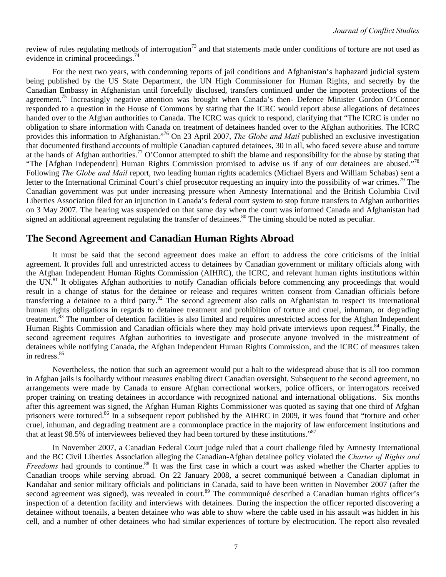review of rules regulating methods of interrogation<sup>73</sup> and that statements made under conditions of torture are not used as evidence in criminal proceedings. $^{74}$ 

For the next two years, with condemning reports of jail conditions and Afghanistan's haphazard judicial system being published by the US State Department, the UN High Commissioner for Human Rights, and secretly by the Canadian Embassy in Afghanistan until forcefully disclosed, transfers continued under the impotent protections of the agreement.<sup>75</sup> Increasingly negative attention was brought when Canada's then- Defence Minister Gordon O'Connor responded to a question in the House of Commons by stating that the ICRC would report abuse allegations of detainees handed over to the Afghan authorities to Canada. The ICRC was quick to respond, clarifying that "The ICRC is under no obligation to share information with Canada on treatment of detainees handed over to the Afghan authorities. The ICRC provides this information to Afghanistan."76 On 23 April 2007, *The Globe and Mail* published an exclusive investigation that documented firsthand accounts of multiple Canadian captured detainees, 30 in all, who faced severe abuse and torture at the hands of Afghan authorities.<sup>77</sup> O'Connor attempted to shift the blame and responsibility for the abuse by stating that "The [Afghan Independent] Human Rights Commission promised to advise us if any of our detainees are abused."<sup>78</sup> Following *The Globe and Mail* report, two leading human rights academics (Michael Byers and William Schabas) sent a letter to the International Criminal Court's chief prosecutor requesting an inquiry into the possibility of war crimes.<sup>79</sup> The Canadian government was put under increasing pressure when Amnesty International and the British Columbia Civil Liberties Association filed for an injunction in Canada's federal court system to stop future transfers to Afghan authorities on 3 May 2007. The hearing was suspended on that same day when the court was informed Canada and Afghanistan had signed an additional agreement regulating the transfer of detainees.<sup>80</sup> The timing should be noted as peculiar.

## **The Second Agreement and Canadian Human Rights Abroad**

It must be said that the second agreement does make an effort to address the core criticisms of the initial agreement. It provides full and unrestricted access to detainees by Canadian government or military officials along with the Afghan Independent Human Rights Commission (AIHRC), the ICRC, and relevant human rights institutions within the UN.<sup>81</sup> It obligates Afghan authorities to notify Canadian officials before commencing any proceedings that would result in a change of status for the detainee or release and requires written consent from Canadian officials before transferring a detainee to a third party.82 The second agreement also calls on Afghanistan to respect its international human rights obligations in regards to detainee treatment and prohibition of torture and cruel, inhuman, or degrading treatment.<sup>83</sup> The number of detention facilities is also limited and requires unrestricted access for the Afghan Independent Human Rights Commission and Canadian officials where they may hold private interviews upon request.<sup>84</sup> Finally, the second agreement requires Afghan authorities to investigate and prosecute anyone involved in the mistreatment of detainees while notifying Canada, the Afghan Independent Human Rights Commission, and the ICRC of measures taken in redress.<sup>85</sup>

Nevertheless, the notion that such an agreement would put a halt to the widespread abuse that is all too common in Afghan jails is foolhardy without measures enabling direct Canadian oversight. Subsequent to the second agreement, no arrangements were made by Canada to ensure Afghan correctional workers, police officers, or interrogators received proper training on treating detainees in accordance with recognized national and international obligations. Six months after this agreement was signed, the Afghan Human Rights Commissioner was quoted as saying that one third of Afghan prisoners were tortured.<sup>86</sup> In a subsequent report published by the AIHRC in 2009, it was found that "torture and other cruel, inhuman, and degrading treatment are a commonplace practice in the majority of law enforcement institutions and that at least 98.5% of interviewees believed they had been tortured by these institutions."<sup>87</sup>

In November 2007, a Canadian Federal Court judge ruled that a court challenge filed by Amnesty International and the BC Civil Liberties Association alleging the Canadian-Afghan detainee policy violated the *Charter of Rights and Freedoms* had grounds to continue.<sup>88</sup> It was the first case in which a court was asked whether the Charter applies to Canadian troops while serving abroad. On 22 January 2008, a secret communiqué between a Canadian diplomat in Kandahar and senior military officials and politicians in Canada, said to have been written in November 2007 (after the second agreement was signed), was revealed in court.<sup>89</sup> The communiqué described a Canadian human rights officer's inspection of a detention facility and interviews with detainees. During the inspection the officer reported discovering a detainee without toenails, a beaten detainee who was able to show where the cable used in his assault was hidden in his cell, and a number of other detainees who had similar experiences of torture by electrocution. The report also revealed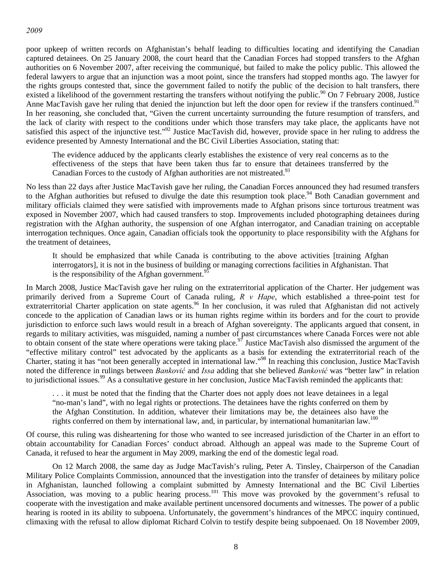poor upkeep of written records on Afghanistan's behalf leading to difficulties locating and identifying the Canadian captured detainees. On 25 January 2008, the court heard that the Canadian Forces had stopped transfers to the Afghan authorities on 6 November 2007, after receiving the communiqué, but failed to make the policy public. This allowed the federal lawyers to argue that an injunction was a moot point, since the transfers had stopped months ago. The lawyer for the rights groups contested that, since the government failed to notify the public of the decision to halt transfers, there existed a likelihood of the government restarting the transfers without notifying the public.<sup>90</sup> On 7 February 2008, Justice Anne MacTavish gave her ruling that denied the injunction but left the door open for review if the transfers continued.<sup>91</sup> In her reasoning, she concluded that, "Given the current uncertainty surrounding the future resumption of transfers, and the lack of clarity with respect to the conditions under which those transfers may take place, the applicants have not satisfied this aspect of the injunctive test."<sup>92</sup> Justice MacTavish did, however, provide space in her ruling to address the evidence presented by Amnesty International and the BC Civil Liberties Association, stating that:

The evidence adduced by the applicants clearly establishes the existence of very real concerns as to the effectiveness of the steps that have been taken thus far to ensure that detainees transferred by the Canadian Forces to the custody of Afghan authorities are not mistreated.<sup>93</sup>

No less than 22 days after Justice MacTavish gave her ruling, the Canadian Forces announced they had resumed transfers to the Afghan authorities but refused to divulge the date this resumption took place.<sup>94</sup> Both Canadian government and military officials claimed they were satisfied with improvements made to Afghan prisons since torturous treatment was exposed in November 2007, which had caused transfers to stop. Improvements included photographing detainees during registration with the Afghan authority, the suspension of one Afghan interrogator, and Canadian training on acceptable interrogation techniques. Once again, Canadian officials took the opportunity to place responsibility with the Afghans for the treatment of detainees,

It should be emphasized that while Canada is contributing to the above activities [training Afghan interrogators], it is not in the business of building or managing corrections facilities in Afghanistan. That is the responsibility of the Afghan government.<sup>95</sup>

In March 2008, Justice MacTavish gave her ruling on the extraterritorial application of the Charter. Her judgement was primarily derived from a Supreme Court of Canada ruling, *R v Hape*, which established a three-point test for extraterritorial Charter application on state agents.<sup>96</sup> In her conclusion, it was ruled that Afghanistan did not actively concede to the application of Canadian laws or its human rights regime within its borders and for the court to provide jurisdiction to enforce such laws would result in a breach of Afghan sovereignty. The applicants argued that consent, in regards to military activities, was misguided, naming a number of past circumstances where Canada Forces were not able to obtain consent of the state where operations were taking place.<sup>97</sup> Justice MacTavish also dismissed the argument of the "effective military control" test advocated by the applicants as a basis for extending the extraterritorial reach of the Charter, stating it has "not been generally accepted in international law."98 In reaching this conclusion, Justice MacTavish noted the difference in rulings between *Banković* and *Issa* adding that she believed *Banković* was "better law" in relation to jurisdictional issues.<sup>99</sup> As a consultative gesture in her conclusion, Justice MacTavish reminded the applicants that:

. . . it must be noted that the finding that the Charter does not apply does not leave detainees in a legal "no-man's land", with no legal rights or protections. The detainees have the rights conferred on them by the Afghan Constitution. In addition, whatever their limitations may be, the detainees also have the rights conferred on them by international law, and, in particular, by international humanitarian law.<sup>100</sup>

Of course, this ruling was disheartening for those who wanted to see increased jurisdiction of the Charter in an effort to obtain accountability for Canadian Forces' conduct abroad. Although an appeal was made to the Supreme Court of Canada, it refused to hear the argument in May 2009, marking the end of the domestic legal road.

On 12 March 2008, the same day as Judge MacTavish's ruling, Peter A. Tinsley, Chairperson of the Canadian Military Police Complaints Commission, announced that the investigation into the transfer of detainees by military police in Afghanistan, launched following a complaint submitted by Amnesty International and the BC Civil Liberties Association, was moving to a public hearing process.<sup>101</sup> This move was provoked by the government's refusal to cooperate with the investigation and make available pertinent uncensored documents and witnesses. The power of a public hearing is rooted in its ability to subpoena. Unfortunately, the government's hindrances of the MPCC inquiry continued, climaxing with the refusal to allow diplomat Richard Colvin to testify despite being subpoenaed. On 18 November 2009,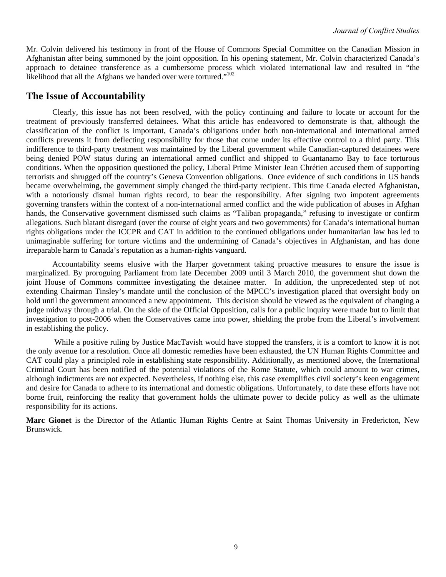Mr. Colvin delivered his testimony in front of the House of Commons Special Committee on the Canadian Mission in Afghanistan after being summoned by the joint opposition. In his opening statement, Mr. Colvin characterized Canada's approach to detainee transference as a cumbersome process which violated international law and resulted in "the likelihood that all the Afghans we handed over were tortured."<sup>102</sup>

## **The Issue of Accountability**

Clearly, this issue has not been resolved, with the policy continuing and failure to locate or account for the treatment of previously transferred detainees. What this article has endeavored to demonstrate is that, although the classification of the conflict is important, Canada's obligations under both non-international and international armed conflicts prevents it from deflecting responsibility for those that come under its effective control to a third party. This indifference to third-party treatment was maintained by the Liberal government while Canadian-captured detainees were being denied POW status during an international armed conflict and shipped to Guantanamo Bay to face torturous conditions. When the opposition questioned the policy, Liberal Prime Minister Jean Chrétien accused them of supporting terrorists and shrugged off the country's Geneva Convention obligations. Once evidence of such conditions in US hands became overwhelming, the government simply changed the third-party recipient. This time Canada elected Afghanistan, with a notoriously dismal human rights record, to bear the responsibility. After signing two impotent agreements governing transfers within the context of a non-international armed conflict and the wide publication of abuses in Afghan hands, the Conservative government dismissed such claims as "Taliban propaganda," refusing to investigate or confirm allegations. Such blatant disregard (over the course of eight years and two governments) for Canada's international human rights obligations under the ICCPR and CAT in addition to the continued obligations under humanitarian law has led to unimaginable suffering for torture victims and the undermining of Canada's objectives in Afghanistan, and has done irreparable harm to Canada's reputation as a human-rights vanguard.

Accountability seems elusive with the Harper government taking proactive measures to ensure the issue is marginalized. By proroguing Parliament from late December 2009 until 3 March 2010, the government shut down the joint House of Commons committee investigating the detainee matter. In addition, the unprecedented step of not extending Chairman Tinsley's mandate until the conclusion of the MPCC's investigation placed that oversight body on hold until the government announced a new appointment. This decision should be viewed as the equivalent of changing a judge midway through a trial. On the side of the Official Opposition, calls for a public inquiry were made but to limit that investigation to post-2006 when the Conservatives came into power, shielding the probe from the Liberal's involvement in establishing the policy.

 While a positive ruling by Justice MacTavish would have stopped the transfers, it is a comfort to know it is not the only avenue for a resolution. Once all domestic remedies have been exhausted, the UN Human Rights Committee and CAT could play a principled role in establishing state responsibility. Additionally, as mentioned above, the International Criminal Court has been notified of the potential violations of the Rome Statute, which could amount to war crimes, although indictments are not expected. Nevertheless, if nothing else, this case exemplifies civil society's keen engagement and desire for Canada to adhere to its international and domestic obligations. Unfortunately, to date these efforts have not borne fruit, reinforcing the reality that government holds the ultimate power to decide policy as well as the ultimate responsibility for its actions.

**Marc Gionet** is the Director of the Atlantic Human Rights Centre at Saint Thomas University in Fredericton, New Brunswick.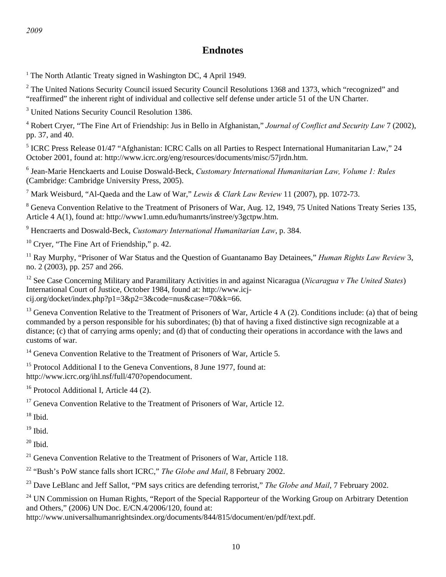# **Endnotes**

<sup>1</sup> The North Atlantic Treaty signed in Washington DC, 4 April 1949.

 $2^2$  The United Nations Security Council issued Security Council Resolutions 1368 and 1373, which "recognized" and "reaffirmed" the inherent right of individual and collective self defense under article 51 of the UN Charter.

<sup>3</sup> United Nations Security Council Resolution 1386.

4 Robert Cryer, "The Fine Art of Friendship: Jus in Bello in Afghanistan," *Journal of Conflict and Security Law* 7 (2002), pp. 37, and 40.

<sup>5</sup> ICRC Press Release 01/47 "Afghanistan: ICRC Calls on all Parties to Respect International Humanitarian Law," 24 October 2001, found at: http://www.icrc.org/eng/resources/documents/misc/57jrdn.htm.

6 Jean-Marie Henckaerts and Louise Doswald-Beck, *Customary International Humanitarian Law, Volume 1: Rules* (Cambridge: Cambridge University Press, 2005).

7 Mark Weisburd, "Al-Qaeda and the Law of War," *Lewis & Clark Law Review* 11 (2007), pp. 1072-73.

<sup>8</sup> Geneva Convention Relative to the Treatment of Prisoners of War, Aug. 12, 1949, 75 United Nations Treaty Series 135, Article 4 A(1), found at: http://www1.umn.edu/humanrts/instree/y3gctpw.htm.

9 Hencraerts and Doswald-Beck, *Customary International Humanitarian Law*, p. 384.

<sup>10</sup> Cryer, "The Fine Art of Friendship," p. 42.

11 Ray Murphy, "Prisoner of War Status and the Question of Guantanamo Bay Detainees," *Human Rights Law Review* 3, no. 2 (2003), pp. 257 and 266.

12 See Case Concerning Military and Paramilitary Activities in and against Nicaragua (*Nicaragua v The United States*) International Court of Justice, October 1984, found at: http://www.icjcij.org/docket/index.php?p1=3&p2=3&code=nus&case=70&k=66.

 $13$  Geneva Convention Relative to the Treatment of Prisoners of War, Article 4 A (2). Conditions include: (a) that of being commanded by a person responsible for his subordinates; (b) that of having a fixed distinctive sign recognizable at a distance; (c) that of carrying arms openly; and (d) that of conducting their operations in accordance with the laws and customs of war.

 $14$  Geneva Convention Relative to the Treatment of Prisoners of War, Article 5.

<sup>15</sup> Protocol Additional I to the Geneva Conventions, 8 June 1977, found at: http://www.icrc.org/ihl.nsf/full/470?opendocument.

 $16$  Protocol Additional I, Article 44 (2).

 $17$  Geneva Convention Relative to the Treatment of Prisoners of War, Article 12.

 $^{\rm 18}$  Ibid.

 $19$  Ibid.

 $20$  Ibid.

 $21$  Geneva Convention Relative to the Treatment of Prisoners of War, Article 118.

22 "Bush's PoW stance falls short ICRC," *The Globe and Mail*, 8 February 2002.

<sup>23</sup> Dave LeBlanc and Jeff Sallot, "PM says critics are defending terrorist," *The Globe and Mail*, 7 February 2002.

<sup>24</sup> UN Commission on Human Rights, "Report of the Special Rapporteur of the Working Group on Arbitrary Detention and Others," (2006) UN Doc. E/CN.4/2006/120, found at:

http://www.universalhumanrightsindex.org/documents/844/815/document/en/pdf/text.pdf.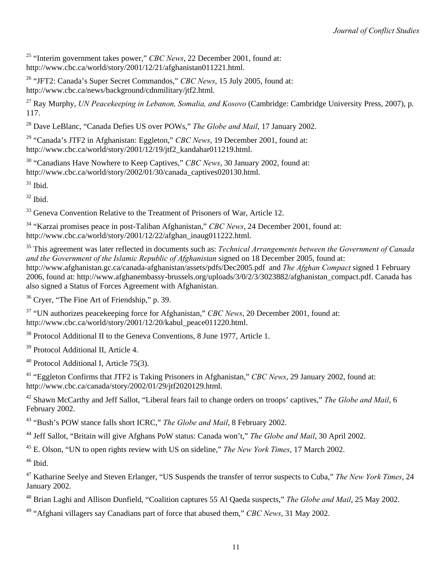25 "Interim government takes power," *CBC News*, 22 December 2001, found at: http://www.cbc.ca/world/story/2001/12/21/afghanistan011221.html.

26 "JFT2: Canada's Super Secret Commandos," *CBC News*, 15 July 2005, found at: http://www.cbc.ca/news/background/cdnmilitary/jtf2.html.

27 Ray Murphy, *UN Peacekeeping in Lebanon, Somalia, and Kosovo* (Cambridge: Cambridge University Press, 2007), p. 117.

28 Dave LeBlanc, "Canada Defies US over POWs," *The Globe and Mail*, 17 January 2002.

29 "Canada's JTF2 in Afghanistan: Eggleton," *CBC News*, 19 December 2001, found at: http://www.cbc.ca/world/story/2001/12/19/jtf2\_kandahar011219.html.

30 "Canadians Have Nowhere to Keep Captives," *CBC News*, 30 January 2002, found at: http://www.cbc.ca/world/story/2002/01/30/canada\_captives020130.html.

 $31$  Ibid.

 $32$  Ibid.

<sup>33</sup> Geneva Convention Relative to the Treatment of Prisoners of War, Article 12.

34 "Karzai promises peace in post-Taliban Afghanistan," *CBC News*, 24 December 2001, found at: http://www.cbc.ca/world/story/2001/12/22/afghan\_inaug011222.html.

35 This agreement was later reflected in documents such as: *Technical Arrangements between the Government of Canada and the Government of the Islamic Republic of Afghanistan* signed on 18 December 2005, found at: http://www.afghanistan.gc.ca/canada-afghanistan/assets/pdfs/Dec2005.pdf and *The Afghan Compact* signed 1 February 2006, found at: http://www.afghanembassy-brussels.org/uploads/3/0/2/3/3023882/afghanistan\_compact.pdf. Canada has also signed a Status of Forces Agreement with Afghanistan.

36 Cryer, "The Fine Art of Friendship," p. 39.

37 "UN authorizes peacekeeping force for Afghanistan," *CBC News*, 20 December 2001, found at: http://www.cbc.ca/world/story/2001/12/20/kabul\_peace011220.html.

<sup>38</sup> Protocol Additional II to the Geneva Conventions, 8 June 1977, Article 1.

<sup>39</sup> Protocol Additional II, Article 4.

 $40$  Protocol Additional I, Article 75(3).

41 "Eggleton Confirms that JTF2 is Taking Prisoners in Afghanistan," *CBC News*, 29 January 2002, found at: http://www.cbc.ca/canada/story/2002/01/29/jtf2020129.html.

42 Shawn McCarthy and Jeff Sallot, "Liberal fears fail to change orders on troops' captives," *The Globe and Mail*, 6 February 2002.

43 "Bush's POW stance falls short ICRC," *The Globe and Mail*, 8 February 2002.

44 Jeff Sallot, "Britain will give Afghans PoW status: Canada won't," *The Globe and Mail*, 30 April 2002.

45 E. Olson, "UN to open rights review with US on sideline," *The New York Times*, 17 March 2002.

 $46$  Ibid.

47 Katharine Seelye and Steven Erlanger, "US Suspends the transfer of terror suspects to Cuba," *The New York Times*, 24 January 2002.

48 Brian Laghi and Allison Dunfield, "Coalition captures 55 Al Qaeda suspects," *The Globe and Mail*, 25 May 2002.

49 "Afghani villagers say Canadians part of force that abused them," *CBC News*, 31 May 2002.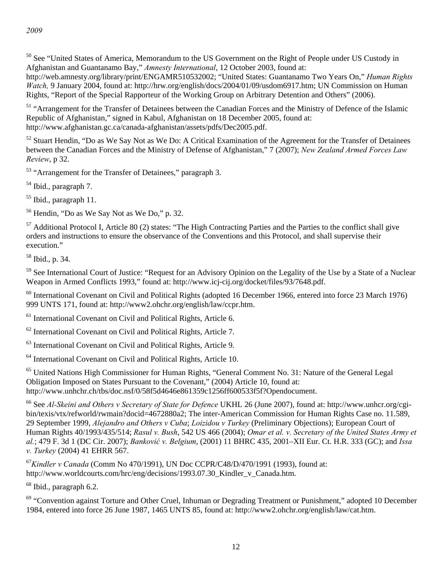<sup>50</sup> See "United States of America, Memorandum to the US Government on the Right of People under US Custody in Afghanistan and Guantanamo Bay," *Amnesty International*, 12 October 2003, found at:

http://web.amnesty.org/library/print/ENGAMR510532002; "United States: Guantanamo Two Years On," *Human Rights Watch,* 9 January 2004, found at: http://hrw.org/english/docs/2004/01/09/usdom6917.htm; UN Commission on Human Rights, "Report of the Special Rapporteur of the Working Group on Arbitrary Detention and Others" (2006).

<sup>51</sup> "Arrangement for the Transfer of Detainees between the Canadian Forces and the Ministry of Defence of the Islamic Republic of Afghanistan," signed in Kabul, Afghanistan on 18 December 2005, found at: http://www.afghanistan.gc.ca/canada-afghanistan/assets/pdfs/Dec2005.pdf.

<sup>52</sup> Stuart Hendin, "Do as We Say Not as We Do: A Critical Examination of the Agreement for the Transfer of Detainees between the Canadian Forces and the Ministry of Defense of Afghanistan," 7 (2007); *New Zealand Armed Forces Law Review*, p 32.

<sup>53</sup> "Arrangement for the Transfer of Detainees," paragraph 3.

54 Ibid., paragraph 7.

55 Ibid., paragraph 11.

56 Hendin, "Do as We Say Not as We Do," p. 32.

 $57$  Additional Protocol I, Article 80 (2) states: "The High Contracting Parties and the Parties to the conflict shall give orders and instructions to ensure the observance of the Conventions and this Protocol, and shall supervise their execution."

58 Ibid., p. 34.

<sup>59</sup> See International Court of Justice: "Request for an Advisory Opinion on the Legality of the Use by a State of a Nuclear Weapon in Armed Conflicts 1993," found at: http://www.icj-cij.org/docket/files/93/7648.pdf.

<sup>60</sup> International Covenant on Civil and Political Rights (adopted 16 December 1966, entered into force 23 March 1976) 999 UNTS 171, found at: http://www2.ohchr.org/english/law/ccpr.htm.

<sup>61</sup> International Covenant on Civil and Political Rights, Article 6.

62 International Covenant on Civil and Political Rights, Article 7.

63 International Covenant on Civil and Political Rights, Article 9.

64 International Covenant on Civil and Political Rights, Article 10.

<sup>65</sup> United Nations High Commissioner for Human Rights, "General Comment No. 31: Nature of the General Legal Obligation Imposed on States Pursuant to the Covenant," (2004) Article 10, found at: http://www.unhchr.ch/tbs/doc.nsf/0/58f5d4646e861359c1256ff600533f5f?Opendocument.

66 See *Al-Skeini and Others v Secretary of State for Defence* UKHL 26 (June 2007), found at: http://www.unhcr.org/cgibin/texis/vtx/refworld/rwmain?docid=4672880a2; The inter-American Commission for Human Rights Case no. 11.589, 29 September 1999, *Alejandro and Others v Cuba*; *Loizidou v Turkey* (Preliminary Objections); European Court of Human Rights 40/1993/435/514; *Rasul v. Bush*, 542 US 466 (2004); *Omar et al. v. Secretary of the United States Army et al.*; 479 F. 3d 1 (DC Cir. 2007); *Banković v. Belgium*, (2001) 11 BHRC 435, 2001–XII Eur. Ct. H.R. 333 (GC); and *Issa v. Turkey* (2004) 41 EHRR 567.

<sup>67</sup>*Kindler v Canada* (Comm No 470/1991), UN Doc CCPR/C48/D/470/1991 (1993), found at: http://www.worldcourts.com/hrc/eng/decisions/1993.07.30 Kindler v Canada.htm.

 $68$  Ibid., paragraph 6.2.

<sup>69</sup> "Convention against Torture and Other Cruel, Inhuman or Degrading Treatment or Punishment," adopted 10 December 1984, entered into force 26 June 1987, 1465 UNTS 85, found at: http://www2.ohchr.org/english/law/cat.htm.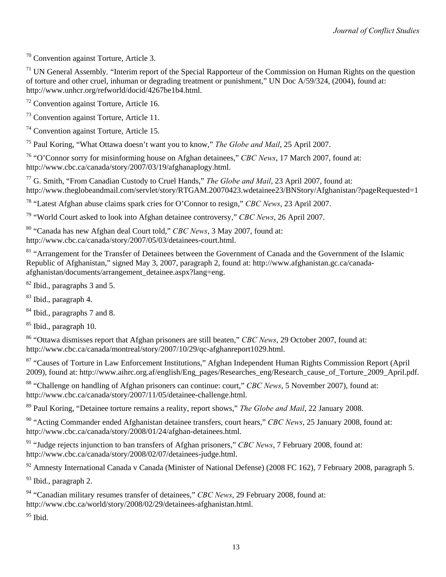70 Convention against Torture, Article 3.

71 UN General Assembly*,* "Interim report of the Special Rapporteur of the Commission on Human Rights on the question of torture and other cruel, inhuman or degrading treatment or punishment," UN Doc A/59/324, (2004), found at: http://www.unhcr.org/refworld/docid/4267be1b4.html.

 $72$  Convention against Torture, Article 16.

73 Convention against Torture, Article 11.

74 Convention against Torture, Article 15.

75 Paul Koring, "What Ottawa doesn't want you to know," *The Globe and Mail*, 25 April 2007.

76 "O'Connor sorry for misinforming house on Afghan detainees," *CBC News*, 17 March 2007, found at: http://www.cbc.ca/canada/story/2007/03/19/afghanaplogy.html.

77 G. Smith, "From Canadian Custody to Cruel Hands," *The Globe and Mail*, 23 April 2007, found at: http://www.theglobeandmail.com/servlet/story/RTGAM.20070423.wdetainee23/BNStory/Afghanistan/?pageRequested=1

78 "Latest Afghan abuse claims spark cries for O'Connor to resign," *CBC News*, 23 April 2007.

79 "World Court asked to look into Afghan detainee controversy," *CBC News*, 26 April 2007.

80 "Canada has new Afghan deal Court told," *CBC News*, 3 May 2007, found at: http://www.cbc.ca/canada/story/2007/05/03/detainees-court.html.

<sup>81</sup> "Arrangement for the Transfer of Detainees between the Government of Canada and the Government of the Islamic Republic of Afghanistan," signed May 3, 2007, paragraph 2, found at: http://www.afghanistan.gc.ca/canadaafghanistan/documents/arrangement\_detainee.aspx?lang=eng.

82 Ibid., paragraphs 3 and 5.

83 Ibid., paragraph 4.

<sup>84</sup> Ibid., paragraphs 7 and 8.

<sup>85</sup> Ibid., paragraph 10.

86 "Ottawa dismisses report that Afghan prisoners are still beaten," *CBC News*, 29 October 2007, found at: http://www.cbc.ca/canada/montreal/story/2007/10/29/qc-afghanreport1029.html.

<sup>87</sup> "Causes of Torture in Law Enforcement Institutions," Afghan Independent Human Rights Commission Report (April 2009), found at: http://www.aihrc.org.af/english/Eng\_pages/Researches\_eng/Research\_cause\_of\_Torture\_2009\_April.pdf.

88 "Challenge on handling of Afghan prisoners can continue: court," *CBC News*, 5 November 2007), found at: http://www.cbc.ca/canada/story/2007/11/05/detainee-challenge.html.

89 Paul Koring, "Detainee torture remains a reality, report shows," *The Globe and Mail*, 22 January 2008.

90 "Acting Commander ended Afghanistan detainee transfers, court hears," *CBC News*, 25 January 2008, found at: http://www.cbc.ca/canada/story/2008/01/24/afghan-detainees.html.

91 "Judge rejects injunction to ban transfers of Afghan prisoners," *CBC News*, 7 February 2008, found at: http://www.cbc.ca/canada/story/2008/02/07/detainees-judge.html.

<sup>92</sup> Amnesty International Canada v Canada (Minister of National Defense) (2008 FC 162), 7 February 2008, paragraph 5.

<sup>93</sup> Ibid., paragraph 2.

94 "Canadian military resumes transfer of detainees," *CBC News*, 29 February 2008, found at: http://www.cbc.ca/world/story/2008/02/29/detainees-afghanistan.html.

 $95$  Ibid.